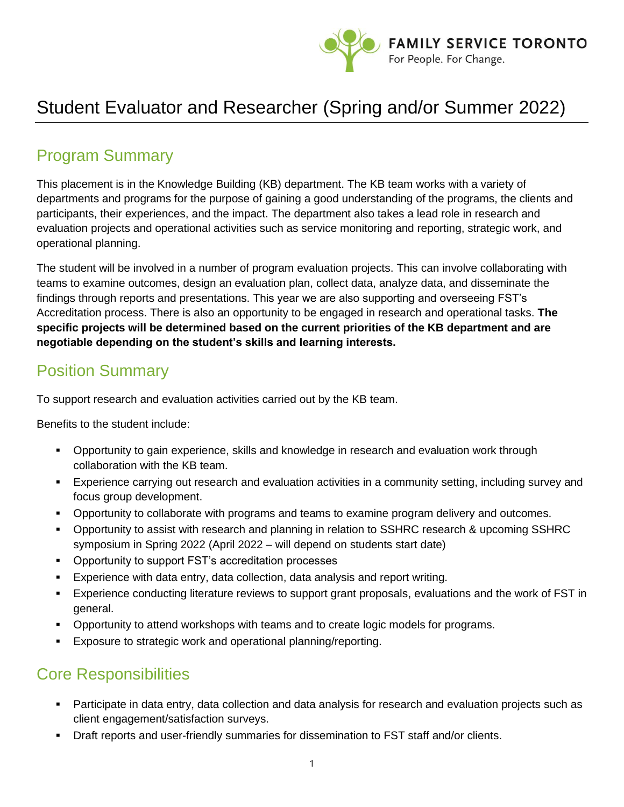

# Student Evaluator and Researcher (Spring and/or Summer 2022)

### Program Summary

This placement is in the Knowledge Building (KB) department. The KB team works with a variety of departments and programs for the purpose of gaining a good understanding of the programs, the clients and participants, their experiences, and the impact. The department also takes a lead role in research and evaluation projects and operational activities such as service monitoring and reporting, strategic work, and operational planning.

The student will be involved in a number of program evaluation projects. This can involve collaborating with teams to examine outcomes, design an evaluation plan, collect data, analyze data, and disseminate the findings through reports and presentations. This year we are also supporting and overseeing FST's Accreditation process. There is also an opportunity to be engaged in research and operational tasks. **The specific projects will be determined based on the current priorities of the KB department and are negotiable depending on the student's skills and learning interests.**

# Position Summary

To support research and evaluation activities carried out by the KB team.

Benefits to the student include:

- Opportunity to gain experience, skills and knowledge in research and evaluation work through collaboration with the KB team.
- Experience carrying out research and evaluation activities in a community setting, including survey and focus group development.
- **•** Opportunity to collaborate with programs and teams to examine program delivery and outcomes.
- Opportunity to assist with research and planning in relation to SSHRC research & upcoming SSHRC symposium in Spring 2022 (April 2022 – will depend on students start date)
- Opportunity to support FST's accreditation processes
- Experience with data entry, data collection, data analysis and report writing.
- Experience conducting literature reviews to support grant proposals, evaluations and the work of FST in general.
- Opportunity to attend workshops with teams and to create logic models for programs.
- Exposure to strategic work and operational planning/reporting.

# Core Responsibilities

- Participate in data entry, data collection and data analysis for research and evaluation projects such as client engagement/satisfaction surveys.
- Draft reports and user-friendly summaries for dissemination to FST staff and/or clients.